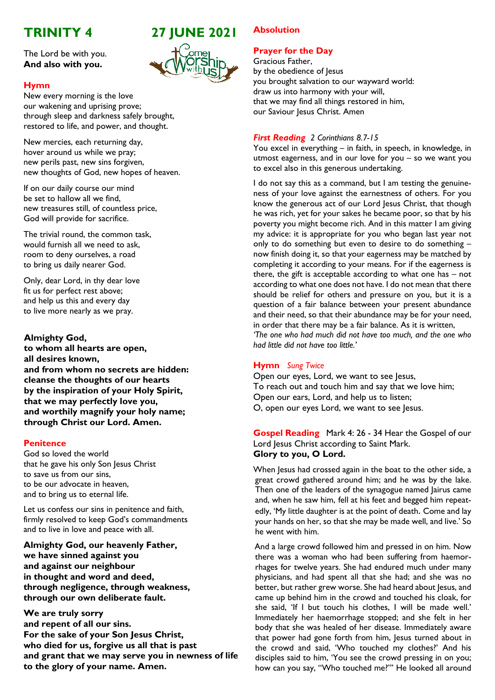The Lord be with you. **And also with you.**



#### **Hymn**

New every morning is the love our wakening and uprising prove; through sleep and darkness safely brought, restored to life, and power, and thought.

New mercies, each returning day, hover around us while we pray; new perils past, new sins forgiven, new thoughts of God, new hopes of heaven.

If on our daily course our mind be set to hallow all we find, new treasures still, of countless price, God will provide for sacrifice.

The trivial round, the common task, would furnish all we need to ask, room to deny ourselves, a road to bring us daily nearer God.

Only, dear Lord, in thy dear love fit us for perfect rest above; and help us this and every day to live more nearly as we pray.

# **Almighty God,**

**to whom all hearts are open, all desires known, and from whom no secrets are hidden: cleanse the thoughts of our hearts by the inspiration of your Holy Spirit, that we may perfectly love you, and worthily magnify your holy name; through Christ our Lord. Amen.**

## **Penitence**

God so loved the world that he gave his only Son Jesus Christ to save us from our sins, to be our advocate in heaven, and to bring us to eternal life.

Let us confess our sins in penitence and faith, firmly resolved to keep God's commandments and to live in love and peace with all.

**Almighty God, our heavenly Father, we have sinned against you and against our neighbour in thought and word and deed, through negligence, through weakness, through our own deliberate fault.**

**We are truly sorry and repent of all our sins. For the sake of your Son Jesus Christ, who died for us, forgive us all that is past and grant that we may serve you in newness of life to the glory of your name. Amen.**

# **Absolution**

# **Prayer for the Day**

Gracious Father, by the obedience of Jesus you brought salvation to our wayward world: draw us into harmony with your will, that we may find all things restored in him, our Saviour Jesus Christ. Amen

## *First Reading 2 Corinthians 8.7-15*

You excel in everything – in faith, in speech, in knowledge, in utmost eagerness, and in our love for you – so we want you to excel also in this generous undertaking.

I do not say this as a command, but I am testing the genuineness of your love against the earnestness of others. For you know the generous act of our Lord Jesus Christ, that though he was rich, yet for your sakes he became poor, so that by his poverty you might become rich. And in this matter I am giving my advice: it is appropriate for you who began last year not only to do something but even to desire to do something – now finish doing it, so that your eagerness may be matched by completing it according to your means. For if the eagerness is there, the gift is acceptable according to what one has – not according to what one does not have. I do not mean that there should be relief for others and pressure on you, but it is a question of a fair balance between your present abundance and their need, so that their abundance may be for your need, in order that there may be a fair balance. As it is written, *'The one who had much did not have too much, and the one who had little did not have too little.'*

## **Hymn** *Sung Twice*

Open our eyes, Lord, we want to see Jesus, To reach out and touch him and say that we love him; Open our ears, Lord, and help us to listen; O, open our eyes Lord, we want to see Jesus.

**Gospel Reading** Mark 4: 26 - 34 Hear the Gospel of our Lord Jesus Christ according to Saint Mark. **Glory to you, O Lord.**

When Jesus had crossed again in the boat to the other side, a great crowd gathered around him; and he was by the lake. Then one of the leaders of the synagogue named Jairus came and, when he saw him, fell at his feet and begged him repeatedly, 'My little daughter is at the point of death. Come and lay your hands on her, so that she may be made well, and live.' So he went with him.

And a large crowd followed him and pressed in on him. Now there was a woman who had been suffering from haemorrhages for twelve years. She had endured much under many physicians, and had spent all that she had; and she was no better, but rather grew worse. She had heard about Jesus, and came up behind him in the crowd and touched his cloak, for she said, 'If I but touch his clothes, I will be made well.' Immediately her haemorrhage stopped; and she felt in her body that she was healed of her disease. Immediately aware that power had gone forth from him, Jesus turned about in the crowd and said, 'Who touched my clothes?' And his disciples said to him, 'You see the crowd pressing in on you; how can you say, "Who touched me?"' He looked all around